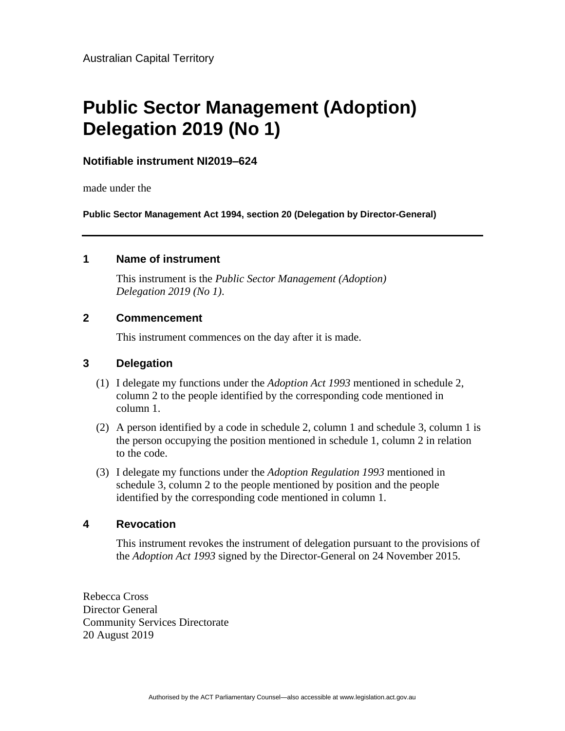# **Public Sector Management (Adoption) Delegation 2019 (No 1)**

# **Notifiable instrument NI2019–624**

made under the

**Public Sector Management Act 1994, section 20 (Delegation by Director-General)**

#### **1 Name of instrument**

This instrument is the *Public Sector Management (Adoption) Delegation 2019 (No 1)*.

#### **2 Commencement**

This instrument commences on the day after it is made.

# **3 Delegation**

- (1) I delegate my functions under the *Adoption Act 1993* mentioned in schedule 2, column 2 to the people identified by the corresponding code mentioned in column 1.
- (2) A person identified by a code in schedule 2, column 1 and schedule 3, column 1 is the person occupying the position mentioned in schedule 1, column 2 in relation to the code.
- (3) I delegate my functions under the *Adoption Regulation 1993* mentioned in schedule 3, column 2 to the people mentioned by position and the people identified by the corresponding code mentioned in column 1.

# **4 Revocation**

This instrument revokes the instrument of delegation pursuant to the provisions of the *Adoption Act 1993* signed by the Director-General on 24 November 2015.

Rebecca Cross Director General Community Services Directorate 20 August 2019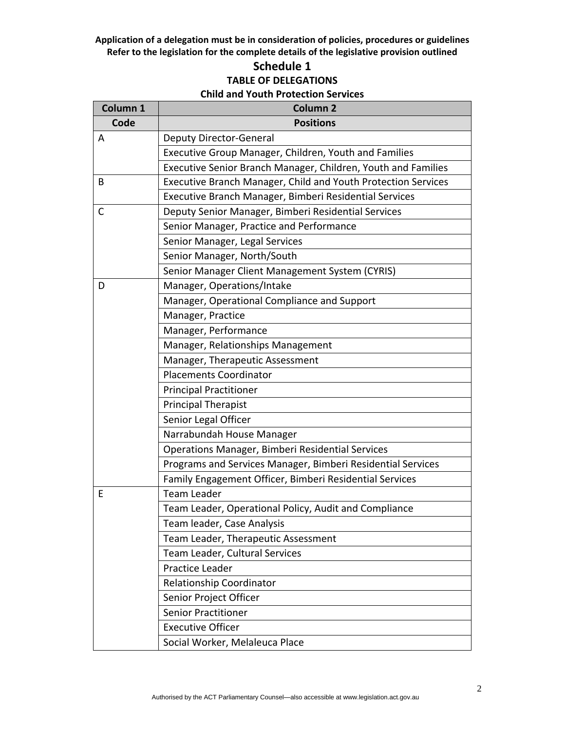# **Schedule 1 TABLE OF DELEGATIONS Child and Youth Protection Services**

| Column 1     | <b>Column 2</b>                                               |  |
|--------------|---------------------------------------------------------------|--|
| Code         | <b>Positions</b>                                              |  |
| A            | <b>Deputy Director-General</b>                                |  |
|              | Executive Group Manager, Children, Youth and Families         |  |
|              | Executive Senior Branch Manager, Children, Youth and Families |  |
| B            | Executive Branch Manager, Child and Youth Protection Services |  |
|              | Executive Branch Manager, Bimberi Residential Services        |  |
| $\mathsf{C}$ | Deputy Senior Manager, Bimberi Residential Services           |  |
|              | Senior Manager, Practice and Performance                      |  |
|              | Senior Manager, Legal Services                                |  |
|              | Senior Manager, North/South                                   |  |
|              | Senior Manager Client Management System (CYRIS)               |  |
| D            | Manager, Operations/Intake                                    |  |
|              | Manager, Operational Compliance and Support                   |  |
|              | Manager, Practice                                             |  |
|              | Manager, Performance                                          |  |
|              | Manager, Relationships Management                             |  |
|              | Manager, Therapeutic Assessment                               |  |
|              | <b>Placements Coordinator</b>                                 |  |
|              | <b>Principal Practitioner</b>                                 |  |
|              | <b>Principal Therapist</b>                                    |  |
|              | Senior Legal Officer                                          |  |
|              | Narrabundah House Manager                                     |  |
|              | Operations Manager, Bimberi Residential Services              |  |
|              | Programs and Services Manager, Bimberi Residential Services   |  |
|              | Family Engagement Officer, Bimberi Residential Services       |  |
| E            | <b>Team Leader</b>                                            |  |
|              | Team Leader, Operational Policy, Audit and Compliance         |  |
|              | Team leader, Case Analysis                                    |  |
|              | Team Leader, Therapeutic Assessment                           |  |
|              | Team Leader, Cultural Services                                |  |
|              | Practice Leader                                               |  |
|              | Relationship Coordinator                                      |  |
|              | Senior Project Officer                                        |  |
|              | <b>Senior Practitioner</b>                                    |  |
|              | <b>Executive Officer</b>                                      |  |
|              | Social Worker, Melaleuca Place                                |  |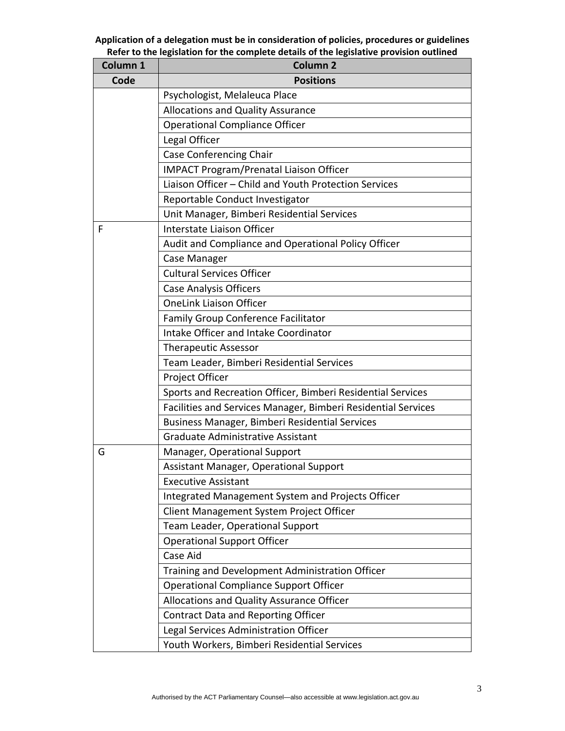| Column 1 | <b>Column 2</b>                                               |  |  |
|----------|---------------------------------------------------------------|--|--|
| Code     | <b>Positions</b>                                              |  |  |
|          | Psychologist, Melaleuca Place                                 |  |  |
|          | <b>Allocations and Quality Assurance</b>                      |  |  |
|          | <b>Operational Compliance Officer</b>                         |  |  |
|          | Legal Officer                                                 |  |  |
|          | <b>Case Conferencing Chair</b>                                |  |  |
|          | <b>IMPACT Program/Prenatal Liaison Officer</b>                |  |  |
|          | Liaison Officer - Child and Youth Protection Services         |  |  |
|          | Reportable Conduct Investigator                               |  |  |
|          | Unit Manager, Bimberi Residential Services                    |  |  |
| F        | Interstate Liaison Officer                                    |  |  |
|          | Audit and Compliance and Operational Policy Officer           |  |  |
|          | Case Manager                                                  |  |  |
|          | <b>Cultural Services Officer</b>                              |  |  |
|          | <b>Case Analysis Officers</b>                                 |  |  |
|          | <b>OneLink Liaison Officer</b>                                |  |  |
|          | Family Group Conference Facilitator                           |  |  |
|          | Intake Officer and Intake Coordinator                         |  |  |
|          | <b>Therapeutic Assessor</b>                                   |  |  |
|          | Team Leader, Bimberi Residential Services                     |  |  |
|          | Project Officer                                               |  |  |
|          | Sports and Recreation Officer, Bimberi Residential Services   |  |  |
|          | Facilities and Services Manager, Bimberi Residential Services |  |  |
|          | Business Manager, Bimberi Residential Services                |  |  |
|          | <b>Graduate Administrative Assistant</b>                      |  |  |
| G        | Manager, Operational Support                                  |  |  |
|          | Assistant Manager, Operational Support                        |  |  |
|          | <b>Executive Assistant</b>                                    |  |  |
|          | Integrated Management System and Projects Officer             |  |  |
|          | Client Management System Project Officer                      |  |  |
|          | Team Leader, Operational Support                              |  |  |
|          | <b>Operational Support Officer</b>                            |  |  |
|          | Case Aid                                                      |  |  |
|          | Training and Development Administration Officer               |  |  |
|          | <b>Operational Compliance Support Officer</b>                 |  |  |
|          | Allocations and Quality Assurance Officer                     |  |  |
|          | <b>Contract Data and Reporting Officer</b>                    |  |  |
|          | Legal Services Administration Officer                         |  |  |
|          | Youth Workers, Bimberi Residential Services                   |  |  |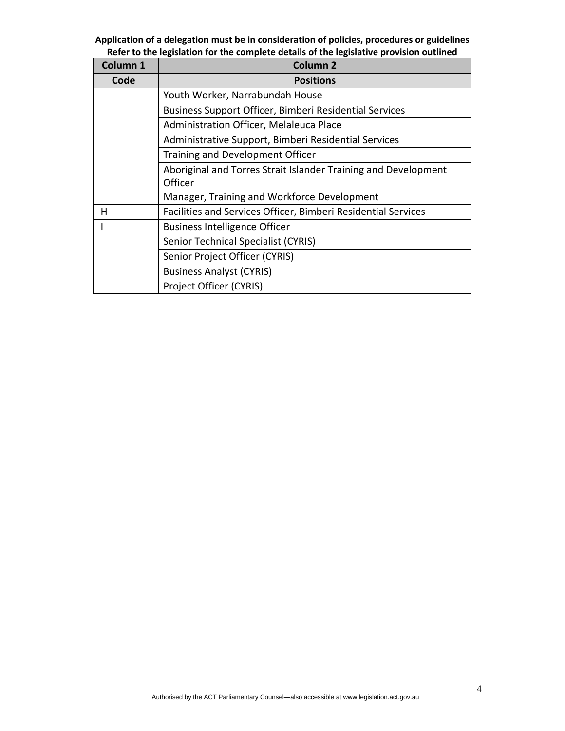| Column <sub>1</sub> | <b>Column 2</b>                                                |  |  |  |
|---------------------|----------------------------------------------------------------|--|--|--|
| Code                | <b>Positions</b>                                               |  |  |  |
|                     | Youth Worker, Narrabundah House                                |  |  |  |
|                     | Business Support Officer, Bimberi Residential Services         |  |  |  |
|                     | Administration Officer, Melaleuca Place                        |  |  |  |
|                     | Administrative Support, Bimberi Residential Services           |  |  |  |
|                     | Training and Development Officer                               |  |  |  |
|                     | Aboriginal and Torres Strait Islander Training and Development |  |  |  |
|                     | Officer                                                        |  |  |  |
|                     | Manager, Training and Workforce Development                    |  |  |  |
| н                   | Facilities and Services Officer, Bimberi Residential Services  |  |  |  |
|                     | <b>Business Intelligence Officer</b>                           |  |  |  |
|                     | <b>Senior Technical Specialist (CYRIS)</b>                     |  |  |  |
|                     | Senior Project Officer (CYRIS)                                 |  |  |  |
|                     | <b>Business Analyst (CYRIS)</b>                                |  |  |  |
|                     | Project Officer (CYRIS)                                        |  |  |  |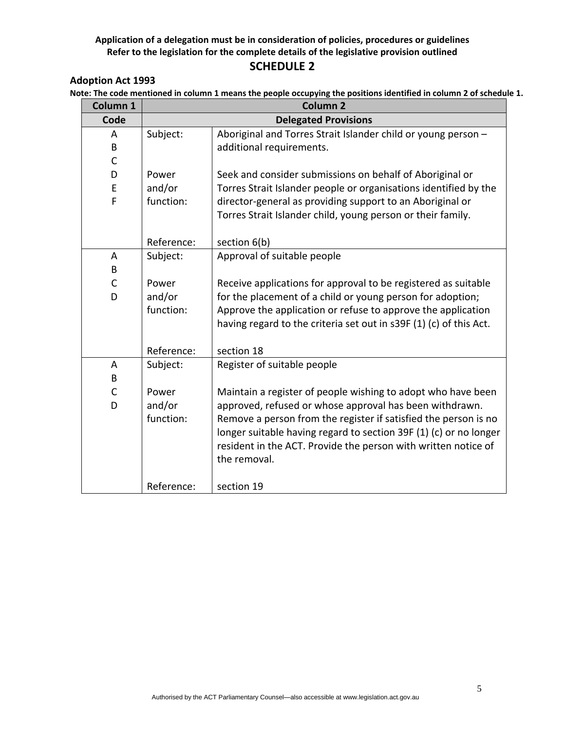#### **Adoption Act 1993**

**Note: The code mentioned in column 1 means the people occupying the positions identified in column 2 of schedule 1.**

| Column 1     |            | <b>Column 2</b>                                                    |  |
|--------------|------------|--------------------------------------------------------------------|--|
| Code         |            | <b>Delegated Provisions</b>                                        |  |
| A            | Subject:   | Aboriginal and Torres Strait Islander child or young person -      |  |
| B            |            | additional requirements.                                           |  |
| $\mathsf{C}$ |            |                                                                    |  |
| D            | Power      | Seek and consider submissions on behalf of Aboriginal or           |  |
| E            | and/or     | Torres Strait Islander people or organisations identified by the   |  |
| F            | function:  | director-general as providing support to an Aboriginal or          |  |
|              |            | Torres Strait Islander child, young person or their family.        |  |
|              |            |                                                                    |  |
|              | Reference: | section 6(b)                                                       |  |
| A            | Subject:   | Approval of suitable people                                        |  |
| B            |            |                                                                    |  |
| $\mathsf{C}$ | Power      | Receive applications for approval to be registered as suitable     |  |
| D            | and/or     | for the placement of a child or young person for adoption;         |  |
|              | function:  | Approve the application or refuse to approve the application       |  |
|              |            | having regard to the criteria set out in s39F (1) (c) of this Act. |  |
|              | Reference: | section 18                                                         |  |
| A            | Subject:   | Register of suitable people                                        |  |
| B            |            |                                                                    |  |
| $\mathsf{C}$ | Power      | Maintain a register of people wishing to adopt who have been       |  |
| D            | and/or     | approved, refused or whose approval has been withdrawn.            |  |
|              | function:  | Remove a person from the register if satisfied the person is no    |  |
|              |            | longer suitable having regard to section 39F (1) (c) or no longer  |  |
|              |            | resident in the ACT. Provide the person with written notice of     |  |
|              |            | the removal.                                                       |  |
|              |            |                                                                    |  |
|              | Reference: | section 19                                                         |  |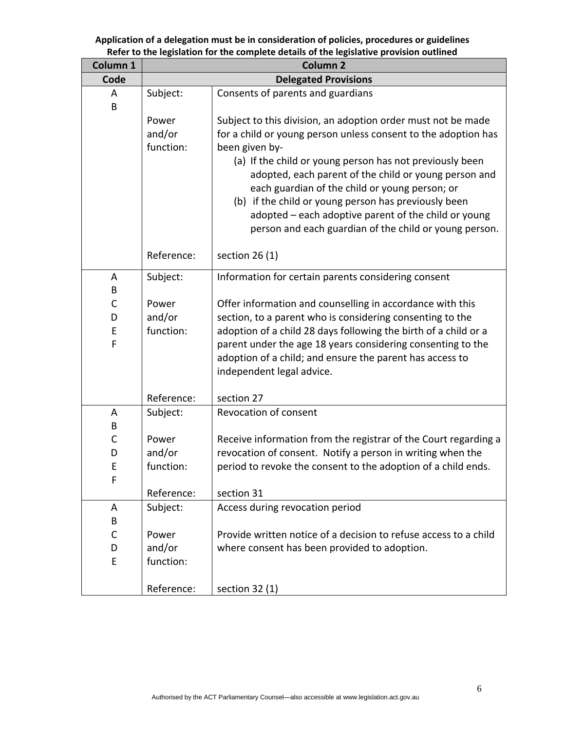| Column 1 |            | Column <sub>2</sub>                                              |  |
|----------|------------|------------------------------------------------------------------|--|
| Code     |            | <b>Delegated Provisions</b>                                      |  |
| A        | Subject:   | Consents of parents and guardians                                |  |
| В        |            |                                                                  |  |
|          | Power      | Subject to this division, an adoption order must not be made     |  |
|          | and/or     | for a child or young person unless consent to the adoption has   |  |
|          | function:  | been given by-                                                   |  |
|          |            | (a) If the child or young person has not previously been         |  |
|          |            | adopted, each parent of the child or young person and            |  |
|          |            | each guardian of the child or young person; or                   |  |
|          |            | (b) if the child or young person has previously been             |  |
|          |            | adopted - each adoptive parent of the child or young             |  |
|          |            | person and each guardian of the child or young person.           |  |
|          | Reference: | section $26(1)$                                                  |  |
| A        | Subject:   | Information for certain parents considering consent              |  |
| B        |            |                                                                  |  |
| C        | Power      | Offer information and counselling in accordance with this        |  |
| D        | and/or     | section, to a parent who is considering consenting to the        |  |
| E        | function:  | adoption of a child 28 days following the birth of a child or a  |  |
| F        |            | parent under the age 18 years considering consenting to the      |  |
|          |            | adoption of a child; and ensure the parent has access to         |  |
|          |            | independent legal advice.                                        |  |
|          |            |                                                                  |  |
|          | Reference: | section 27                                                       |  |
| A        | Subject:   | Revocation of consent                                            |  |
| B        |            |                                                                  |  |
| C        | Power      | Receive information from the registrar of the Court regarding a  |  |
| D        | and/or     | revocation of consent. Notify a person in writing when the       |  |
| E        | function:  | period to revoke the consent to the adoption of a child ends.    |  |
| F        |            |                                                                  |  |
|          | Reference: | section 31                                                       |  |
| A<br>B   | Subject:   | Access during revocation period                                  |  |
| С        | Power      | Provide written notice of a decision to refuse access to a child |  |
| D        | and/or     | where consent has been provided to adoption.                     |  |
| E        | function:  |                                                                  |  |
|          |            |                                                                  |  |
|          | Reference: | section $32(1)$                                                  |  |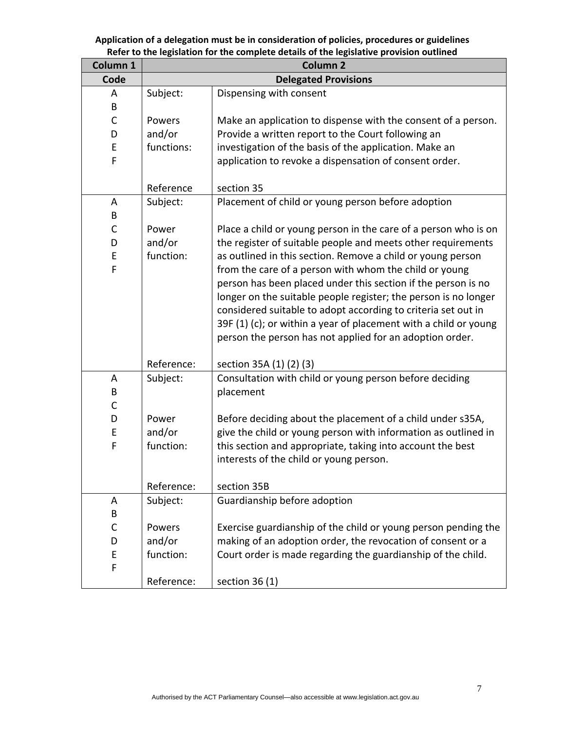| Column 1     | <b>Column 2</b> |                                                                  |
|--------------|-----------------|------------------------------------------------------------------|
| Code         |                 | <b>Delegated Provisions</b>                                      |
| A            | Subject:        | Dispensing with consent                                          |
| B            |                 |                                                                  |
| C            | Powers          | Make an application to dispense with the consent of a person.    |
| D            | and/or          | Provide a written report to the Court following an               |
| E            | functions:      | investigation of the basis of the application. Make an           |
| F            |                 | application to revoke a dispensation of consent order.           |
|              |                 |                                                                  |
|              | Reference       | section 35                                                       |
| A            | Subject:        | Placement of child or young person before adoption               |
| B            |                 |                                                                  |
| $\mathsf{C}$ | Power           | Place a child or young person in the care of a person who is on  |
| D            | and/or          | the register of suitable people and meets other requirements     |
| Ε            | function:       | as outlined in this section. Remove a child or young person      |
| F            |                 | from the care of a person with whom the child or young           |
|              |                 | person has been placed under this section if the person is no    |
|              |                 | longer on the suitable people register; the person is no longer  |
|              |                 | considered suitable to adopt according to criteria set out in    |
|              |                 | 39F (1) (c); or within a year of placement with a child or young |
|              |                 | person the person has not applied for an adoption order.         |
|              | Reference:      | section 35A (1) (2) (3)                                          |
| A            | Subject:        | Consultation with child or young person before deciding          |
| B            |                 | placement                                                        |
| C            |                 |                                                                  |
| D            | Power           | Before deciding about the placement of a child under s35A,       |
| E            | and/or          | give the child or young person with information as outlined in   |
| F            | function:       | this section and appropriate, taking into account the best       |
|              |                 | interests of the child or young person.                          |
|              |                 |                                                                  |
|              | Reference:      | section 35B                                                      |
| A            | Subject:        | Guardianship before adoption                                     |
| В            |                 |                                                                  |
| C            | Powers          | Exercise guardianship of the child or young person pending the   |
| D            | and/or          | making of an adoption order, the revocation of consent or a      |
| E            | function:       | Court order is made regarding the guardianship of the child.     |
| F            |                 |                                                                  |
|              | Reference:      | section $36(1)$                                                  |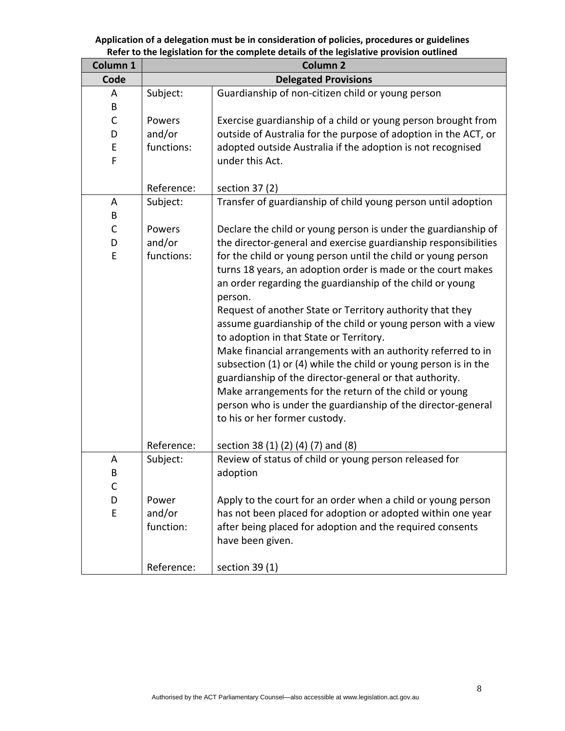| Column 1 | <b>Column 2</b> |                                                                 |  |
|----------|-----------------|-----------------------------------------------------------------|--|
| Code     |                 | <b>Delegated Provisions</b>                                     |  |
| A        | Subject:        | Guardianship of non-citizen child or young person               |  |
| B        |                 |                                                                 |  |
| C        | Powers          | Exercise guardianship of a child or young person brought from   |  |
| D        | and/or          | outside of Australia for the purpose of adoption in the ACT, or |  |
| Ε        | functions:      | adopted outside Australia if the adoption is not recognised     |  |
| F        |                 | under this Act.                                                 |  |
|          |                 |                                                                 |  |
|          | Reference:      | section 37 (2)                                                  |  |
| A        | Subject:        | Transfer of guardianship of child young person until adoption   |  |
| B        |                 |                                                                 |  |
| C        | Powers          | Declare the child or young person is under the guardianship of  |  |
| D        | and/or          | the director-general and exercise guardianship responsibilities |  |
| E        | functions:      | for the child or young person until the child or young person   |  |
|          |                 | turns 18 years, an adoption order is made or the court makes    |  |
|          |                 | an order regarding the guardianship of the child or young       |  |
|          |                 | person.                                                         |  |
|          |                 | Request of another State or Territory authority that they       |  |
|          |                 | assume guardianship of the child or young person with a view    |  |
|          |                 | to adoption in that State or Territory.                         |  |
|          |                 | Make financial arrangements with an authority referred to in    |  |
|          |                 | subsection (1) or (4) while the child or young person is in the |  |
|          |                 | guardianship of the director-general or that authority.         |  |
|          |                 | Make arrangements for the return of the child or young          |  |
|          |                 | person who is under the guardianship of the director-general    |  |
|          |                 | to his or her former custody.                                   |  |
|          |                 |                                                                 |  |
|          | Reference:      | section 38 (1) (2) (4) (7) and (8)                              |  |
| A        | Subject:        | Review of status of child or young person released for          |  |
| В        |                 | adoption                                                        |  |
| C        |                 |                                                                 |  |
| D        | Power           | Apply to the court for an order when a child or young person    |  |
| E        | and/or          | has not been placed for adoption or adopted within one year     |  |
|          | function:       | after being placed for adoption and the required consents       |  |
|          |                 | have been given.                                                |  |
|          |                 |                                                                 |  |
|          | Reference:      | section $39(1)$                                                 |  |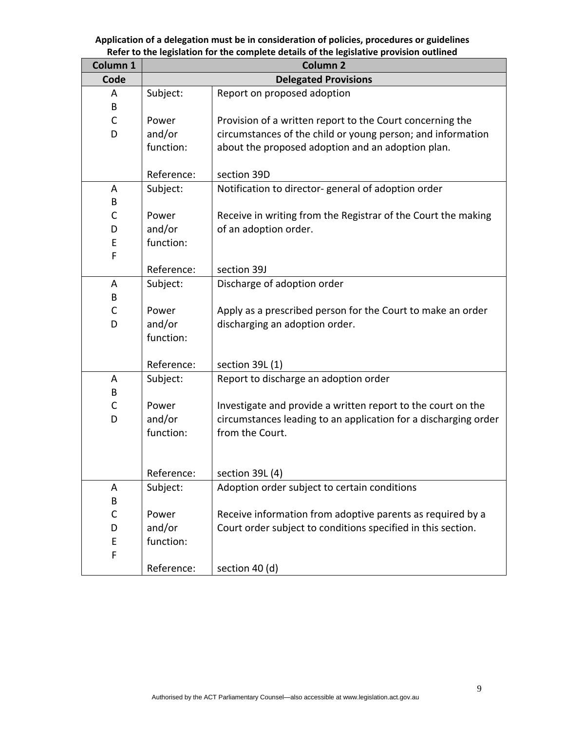| Column 1    |            | <b>Column 2</b>                                                 |
|-------------|------------|-----------------------------------------------------------------|
| Code        |            | <b>Delegated Provisions</b>                                     |
| A           | Subject:   | Report on proposed adoption                                     |
| В           |            |                                                                 |
| $\mathsf C$ | Power      | Provision of a written report to the Court concerning the       |
| D           | and/or     | circumstances of the child or young person; and information     |
|             | function:  | about the proposed adoption and an adoption plan.               |
|             |            |                                                                 |
|             | Reference: | section 39D                                                     |
| A           | Subject:   | Notification to director-general of adoption order              |
| В           |            |                                                                 |
| C           | Power      | Receive in writing from the Registrar of the Court the making   |
| D           | and/or     | of an adoption order.                                           |
| E           | function:  |                                                                 |
| F           |            |                                                                 |
|             | Reference: | section 39J                                                     |
| A           | Subject:   | Discharge of adoption order                                     |
| В           |            |                                                                 |
| $\mathsf C$ | Power      | Apply as a prescribed person for the Court to make an order     |
| D           | and/or     | discharging an adoption order.                                  |
|             | function:  |                                                                 |
|             | Reference: |                                                                 |
|             |            | section 39L (1)                                                 |
| A<br>В      | Subject:   | Report to discharge an adoption order                           |
| С           | Power      | Investigate and provide a written report to the court on the    |
| D           | and/or     | circumstances leading to an application for a discharging order |
|             | function:  | from the Court.                                                 |
|             |            |                                                                 |
|             |            |                                                                 |
|             | Reference: | section 39L (4)                                                 |
| Α           | Subject:   | Adoption order subject to certain conditions                    |
| B           |            |                                                                 |
| $\mathsf C$ | Power      | Receive information from adoptive parents as required by a      |
| D           | and/or     | Court order subject to conditions specified in this section.    |
| E           | function:  |                                                                 |
| F           |            |                                                                 |
|             | Reference: | section 40 (d)                                                  |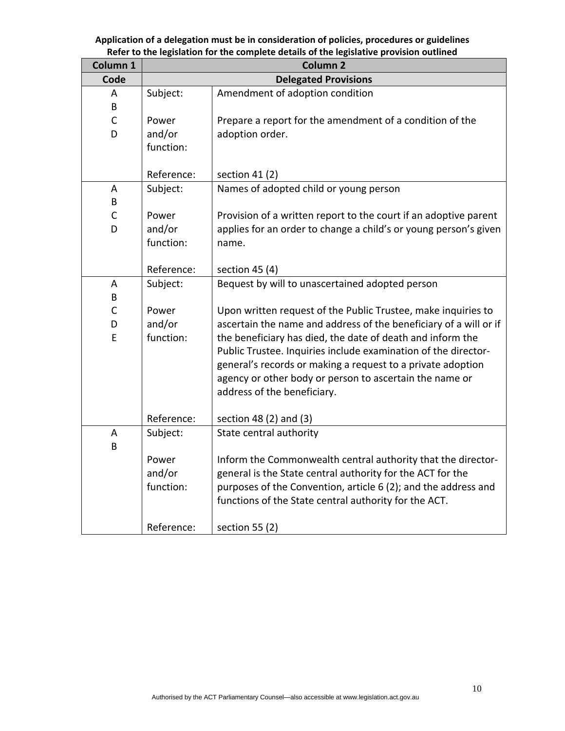| Column 1     |            | <b>Column 2</b>                                                   |
|--------------|------------|-------------------------------------------------------------------|
| Code         |            | <b>Delegated Provisions</b>                                       |
| A            | Subject:   | Amendment of adoption condition                                   |
| B            |            |                                                                   |
| $\mathsf{C}$ | Power      | Prepare a report for the amendment of a condition of the          |
| D            | and/or     | adoption order.                                                   |
|              | function:  |                                                                   |
|              |            |                                                                   |
|              | Reference: | section $41(2)$                                                   |
| A            | Subject:   | Names of adopted child or young person                            |
| B            |            |                                                                   |
| $\mathsf C$  | Power      | Provision of a written report to the court if an adoptive parent  |
| D            | and/or     | applies for an order to change a child's or young person's given  |
|              | function:  | name.                                                             |
|              | Reference: |                                                                   |
|              |            | section $45(4)$                                                   |
| A<br>B       | Subject:   | Bequest by will to unascertained adopted person                   |
| C            | Power      | Upon written request of the Public Trustee, make inquiries to     |
| D            | and/or     | ascertain the name and address of the beneficiary of a will or if |
| E            | function:  | the beneficiary has died, the date of death and inform the        |
|              |            | Public Trustee. Inquiries include examination of the director-    |
|              |            | general's records or making a request to a private adoption       |
|              |            | agency or other body or person to ascertain the name or           |
|              |            | address of the beneficiary.                                       |
|              |            |                                                                   |
|              | Reference: | section 48 (2) and (3)                                            |
| A            | Subject:   | State central authority                                           |
| B            |            |                                                                   |
|              | Power      | Inform the Commonwealth central authority that the director-      |
|              | and/or     | general is the State central authority for the ACT for the        |
|              | function:  | purposes of the Convention, article 6 (2); and the address and    |
|              |            | functions of the State central authority for the ACT.             |
|              |            |                                                                   |
|              | Reference: | section 55 $(2)$                                                  |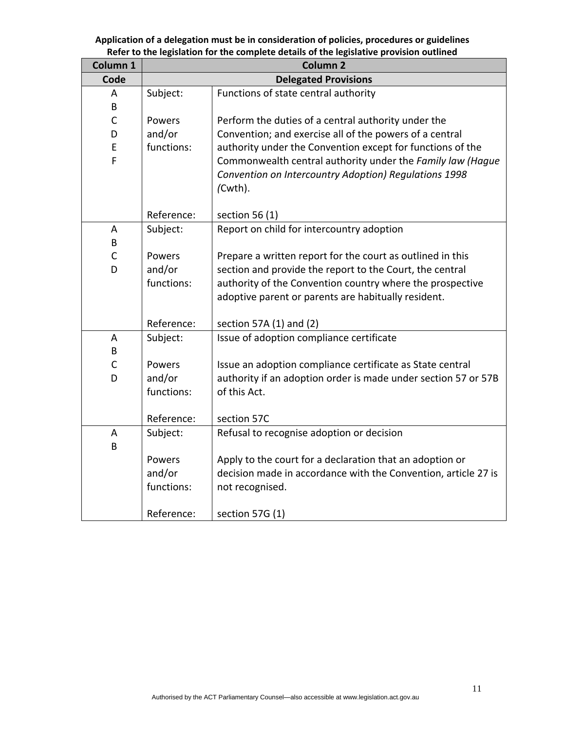| Column 1                                   |                                                                                                                                              | erer to the regionation for the complete actumb or the regionalise provision outline<br><b>Column 2</b>                                                                                                                                                                                                                                                                                                                                                                                                                                                                                                                            |
|--------------------------------------------|----------------------------------------------------------------------------------------------------------------------------------------------|------------------------------------------------------------------------------------------------------------------------------------------------------------------------------------------------------------------------------------------------------------------------------------------------------------------------------------------------------------------------------------------------------------------------------------------------------------------------------------------------------------------------------------------------------------------------------------------------------------------------------------|
| Code                                       |                                                                                                                                              | <b>Delegated Provisions</b>                                                                                                                                                                                                                                                                                                                                                                                                                                                                                                                                                                                                        |
| A                                          | Subject:                                                                                                                                     | Functions of state central authority                                                                                                                                                                                                                                                                                                                                                                                                                                                                                                                                                                                               |
| B                                          |                                                                                                                                              |                                                                                                                                                                                                                                                                                                                                                                                                                                                                                                                                                                                                                                    |
| $\mathsf{C}$                               | Powers                                                                                                                                       | Perform the duties of a central authority under the                                                                                                                                                                                                                                                                                                                                                                                                                                                                                                                                                                                |
| D                                          | and/or                                                                                                                                       | Convention; and exercise all of the powers of a central                                                                                                                                                                                                                                                                                                                                                                                                                                                                                                                                                                            |
| E                                          | functions:                                                                                                                                   | authority under the Convention except for functions of the                                                                                                                                                                                                                                                                                                                                                                                                                                                                                                                                                                         |
| F                                          |                                                                                                                                              | Commonwealth central authority under the Family law (Hague                                                                                                                                                                                                                                                                                                                                                                                                                                                                                                                                                                         |
|                                            |                                                                                                                                              | Convention on Intercountry Adoption) Regulations 1998                                                                                                                                                                                                                                                                                                                                                                                                                                                                                                                                                                              |
|                                            |                                                                                                                                              | (Cwth).                                                                                                                                                                                                                                                                                                                                                                                                                                                                                                                                                                                                                            |
|                                            |                                                                                                                                              |                                                                                                                                                                                                                                                                                                                                                                                                                                                                                                                                                                                                                                    |
|                                            | Reference:                                                                                                                                   | section 56 $(1)$                                                                                                                                                                                                                                                                                                                                                                                                                                                                                                                                                                                                                   |
| A                                          | Subject:                                                                                                                                     | Report on child for intercountry adoption                                                                                                                                                                                                                                                                                                                                                                                                                                                                                                                                                                                          |
| B                                          |                                                                                                                                              |                                                                                                                                                                                                                                                                                                                                                                                                                                                                                                                                                                                                                                    |
| $\mathsf C$                                | Powers                                                                                                                                       | Prepare a written report for the court as outlined in this                                                                                                                                                                                                                                                                                                                                                                                                                                                                                                                                                                         |
|                                            |                                                                                                                                              |                                                                                                                                                                                                                                                                                                                                                                                                                                                                                                                                                                                                                                    |
|                                            |                                                                                                                                              |                                                                                                                                                                                                                                                                                                                                                                                                                                                                                                                                                                                                                                    |
|                                            |                                                                                                                                              |                                                                                                                                                                                                                                                                                                                                                                                                                                                                                                                                                                                                                                    |
|                                            |                                                                                                                                              |                                                                                                                                                                                                                                                                                                                                                                                                                                                                                                                                                                                                                                    |
|                                            |                                                                                                                                              |                                                                                                                                                                                                                                                                                                                                                                                                                                                                                                                                                                                                                                    |
|                                            |                                                                                                                                              |                                                                                                                                                                                                                                                                                                                                                                                                                                                                                                                                                                                                                                    |
|                                            |                                                                                                                                              |                                                                                                                                                                                                                                                                                                                                                                                                                                                                                                                                                                                                                                    |
|                                            |                                                                                                                                              |                                                                                                                                                                                                                                                                                                                                                                                                                                                                                                                                                                                                                                    |
|                                            |                                                                                                                                              |                                                                                                                                                                                                                                                                                                                                                                                                                                                                                                                                                                                                                                    |
|                                            |                                                                                                                                              |                                                                                                                                                                                                                                                                                                                                                                                                                                                                                                                                                                                                                                    |
|                                            |                                                                                                                                              |                                                                                                                                                                                                                                                                                                                                                                                                                                                                                                                                                                                                                                    |
|                                            |                                                                                                                                              |                                                                                                                                                                                                                                                                                                                                                                                                                                                                                                                                                                                                                                    |
|                                            |                                                                                                                                              |                                                                                                                                                                                                                                                                                                                                                                                                                                                                                                                                                                                                                                    |
|                                            |                                                                                                                                              |                                                                                                                                                                                                                                                                                                                                                                                                                                                                                                                                                                                                                                    |
|                                            |                                                                                                                                              |                                                                                                                                                                                                                                                                                                                                                                                                                                                                                                                                                                                                                                    |
|                                            |                                                                                                                                              |                                                                                                                                                                                                                                                                                                                                                                                                                                                                                                                                                                                                                                    |
|                                            |                                                                                                                                              |                                                                                                                                                                                                                                                                                                                                                                                                                                                                                                                                                                                                                                    |
|                                            | Reference:                                                                                                                                   |                                                                                                                                                                                                                                                                                                                                                                                                                                                                                                                                                                                                                                    |
| D<br>A<br>B<br>$\mathsf{C}$<br>D<br>A<br>B | and/or<br>functions:<br>Reference:<br>Subject:<br>Powers<br>and/or<br>functions:<br>Reference:<br>Subject:<br>Powers<br>and/or<br>functions: | section and provide the report to the Court, the central<br>authority of the Convention country where the prospective<br>adoptive parent or parents are habitually resident.<br>section 57A (1) and (2)<br>Issue of adoption compliance certificate<br>Issue an adoption compliance certificate as State central<br>authority if an adoption order is made under section 57 or 57B<br>of this Act.<br>section 57C<br>Refusal to recognise adoption or decision<br>Apply to the court for a declaration that an adoption or<br>decision made in accordance with the Convention, article 27 is<br>not recognised.<br>section 57G (1) |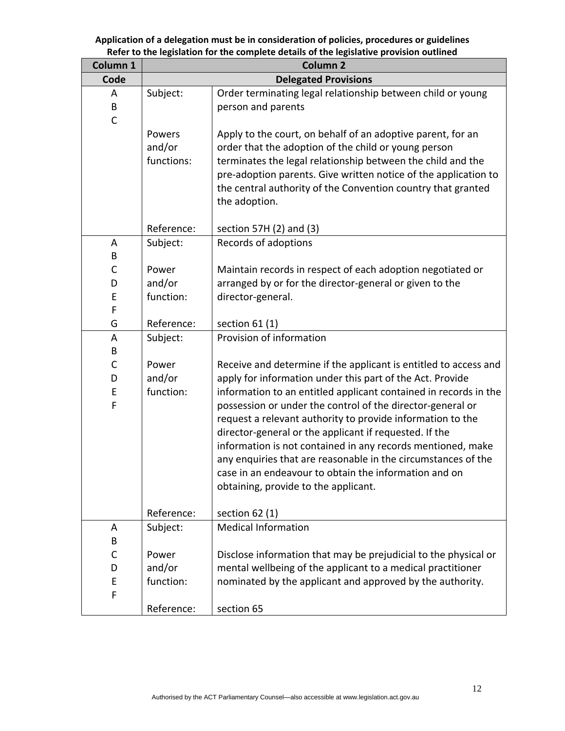| Column 1    | <b>Column 2</b>      |                                                                                                                          |  |
|-------------|----------------------|--------------------------------------------------------------------------------------------------------------------------|--|
| Code        |                      | <b>Delegated Provisions</b>                                                                                              |  |
| A           | Subject:             | Order terminating legal relationship between child or young                                                              |  |
| B           |                      | person and parents                                                                                                       |  |
| $\mathsf C$ |                      |                                                                                                                          |  |
|             | Powers               | Apply to the court, on behalf of an adoptive parent, for an                                                              |  |
|             | and/or<br>functions: | order that the adoption of the child or young person<br>terminates the legal relationship between the child and the      |  |
|             |                      | pre-adoption parents. Give written notice of the application to                                                          |  |
|             |                      | the central authority of the Convention country that granted                                                             |  |
|             |                      | the adoption.                                                                                                            |  |
|             |                      |                                                                                                                          |  |
|             | Reference:           | section 57H (2) and (3)                                                                                                  |  |
| A           | Subject:             | Records of adoptions                                                                                                     |  |
| В           |                      |                                                                                                                          |  |
| $\mathsf C$ | Power                | Maintain records in respect of each adoption negotiated or                                                               |  |
| D<br>E      | and/or<br>function:  | arranged by or for the director-general or given to the                                                                  |  |
| F           |                      | director-general.                                                                                                        |  |
| G           | Reference:           | section $61(1)$                                                                                                          |  |
| A           | Subject:             | Provision of information                                                                                                 |  |
| B           |                      |                                                                                                                          |  |
| $\mathsf C$ | Power                | Receive and determine if the applicant is entitled to access and                                                         |  |
| D           | and/or               | apply for information under this part of the Act. Provide                                                                |  |
| E           | function:            | information to an entitled applicant contained in records in the                                                         |  |
| F           |                      | possession or under the control of the director-general or<br>request a relevant authority to provide information to the |  |
|             |                      | director-general or the applicant if requested. If the                                                                   |  |
|             |                      | information is not contained in any records mentioned, make                                                              |  |
|             |                      | any enquiries that are reasonable in the circumstances of the                                                            |  |
|             |                      | case in an endeavour to obtain the information and on                                                                    |  |
|             |                      | obtaining, provide to the applicant.                                                                                     |  |
|             |                      |                                                                                                                          |  |
|             | Reference:           | section $62(1)$                                                                                                          |  |
| A<br>B      | Subject:             | <b>Medical Information</b>                                                                                               |  |
| C           | Power                | Disclose information that may be prejudicial to the physical or                                                          |  |
| D           | and/or               | mental wellbeing of the applicant to a medical practitioner                                                              |  |
| E           | function:            | nominated by the applicant and approved by the authority.                                                                |  |
| F           |                      |                                                                                                                          |  |
|             | Reference:           | section 65                                                                                                               |  |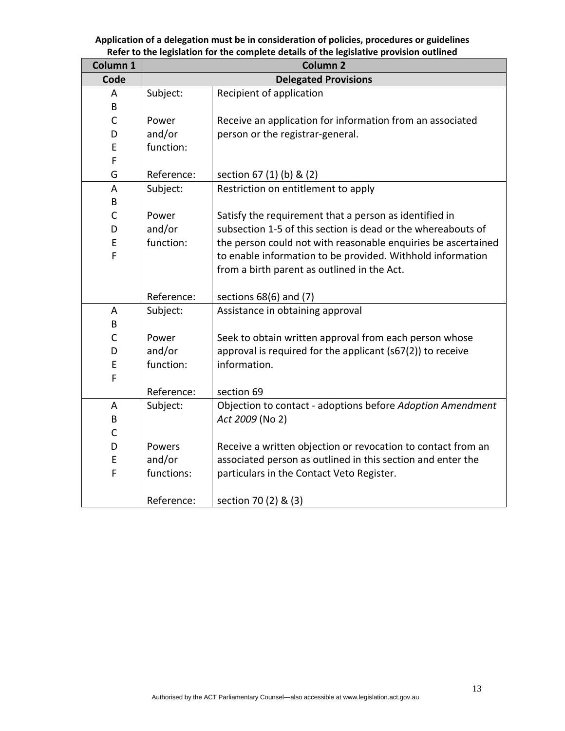| Column 1     |            | <b>Column 2</b>                                               |
|--------------|------------|---------------------------------------------------------------|
| Code         |            | <b>Delegated Provisions</b>                                   |
| A            | Subject:   | Recipient of application                                      |
| B            |            |                                                               |
| C            | Power      | Receive an application for information from an associated     |
| D            | and/or     | person or the registrar-general.                              |
| E            | function:  |                                                               |
| F            |            |                                                               |
| G            | Reference: | section 67 (1) (b) & (2)                                      |
| A            | Subject:   | Restriction on entitlement to apply                           |
| B            |            |                                                               |
| $\mathsf{C}$ | Power      | Satisfy the requirement that a person as identified in        |
| D            | and/or     | subsection 1-5 of this section is dead or the whereabouts of  |
| E            | function:  | the person could not with reasonable enquiries be ascertained |
| F            |            | to enable information to be provided. Withhold information    |
|              |            | from a birth parent as outlined in the Act.                   |
|              | Reference: | sections 68(6) and (7)                                        |
| A            | Subject:   | Assistance in obtaining approval                              |
| B            |            |                                                               |
| C            | Power      | Seek to obtain written approval from each person whose        |
| D            | and/or     | approval is required for the applicant (s67(2)) to receive    |
| E            | function:  | information.                                                  |
| F            |            |                                                               |
|              | Reference: | section 69                                                    |
| A            | Subject:   | Objection to contact - adoptions before Adoption Amendment    |
| B            |            | Act 2009 (No 2)                                               |
| $\mathsf C$  |            |                                                               |
| D            | Powers     | Receive a written objection or revocation to contact from an  |
| E            | and/or     | associated person as outlined in this section and enter the   |
| F            | functions: | particulars in the Contact Veto Register.                     |
|              |            |                                                               |
|              | Reference: | section 70 (2) & (3)                                          |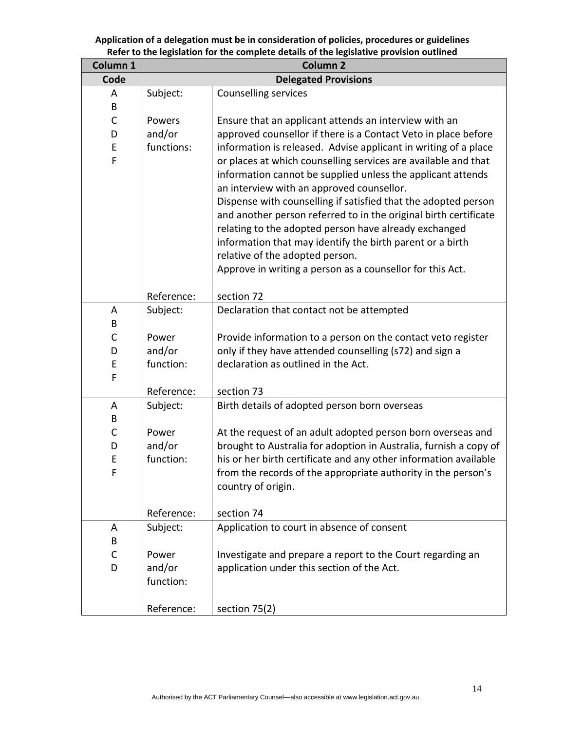| Column 1 | <b>Column 2</b>             |                                                                                                                                                                                                                                                                                                                                                                                                                                                                                                                                        |  |
|----------|-----------------------------|----------------------------------------------------------------------------------------------------------------------------------------------------------------------------------------------------------------------------------------------------------------------------------------------------------------------------------------------------------------------------------------------------------------------------------------------------------------------------------------------------------------------------------------|--|
| Code     | <b>Delegated Provisions</b> |                                                                                                                                                                                                                                                                                                                                                                                                                                                                                                                                        |  |
| A        | Subject:                    | <b>Counselling services</b>                                                                                                                                                                                                                                                                                                                                                                                                                                                                                                            |  |
| B        |                             |                                                                                                                                                                                                                                                                                                                                                                                                                                                                                                                                        |  |
| C        | Powers                      | Ensure that an applicant attends an interview with an                                                                                                                                                                                                                                                                                                                                                                                                                                                                                  |  |
| D        | and/or                      | approved counsellor if there is a Contact Veto in place before                                                                                                                                                                                                                                                                                                                                                                                                                                                                         |  |
| Ε        | functions:                  | information is released. Advise applicant in writing of a place                                                                                                                                                                                                                                                                                                                                                                                                                                                                        |  |
| F        |                             | or places at which counselling services are available and that<br>information cannot be supplied unless the applicant attends<br>an interview with an approved counsellor.<br>Dispense with counselling if satisfied that the adopted person<br>and another person referred to in the original birth certificate<br>relating to the adopted person have already exchanged<br>information that may identify the birth parent or a birth<br>relative of the adopted person.<br>Approve in writing a person as a counsellor for this Act. |  |
|          | Reference:                  | section 72                                                                                                                                                                                                                                                                                                                                                                                                                                                                                                                             |  |
| A        | Subject:                    | Declaration that contact not be attempted                                                                                                                                                                                                                                                                                                                                                                                                                                                                                              |  |
| B        |                             |                                                                                                                                                                                                                                                                                                                                                                                                                                                                                                                                        |  |
| C        | Power                       | Provide information to a person on the contact veto register                                                                                                                                                                                                                                                                                                                                                                                                                                                                           |  |
| D        | and/or                      | only if they have attended counselling (s72) and sign a                                                                                                                                                                                                                                                                                                                                                                                                                                                                                |  |
| E        | function:                   | declaration as outlined in the Act.                                                                                                                                                                                                                                                                                                                                                                                                                                                                                                    |  |
| F        |                             |                                                                                                                                                                                                                                                                                                                                                                                                                                                                                                                                        |  |
|          | Reference:                  | section 73                                                                                                                                                                                                                                                                                                                                                                                                                                                                                                                             |  |
| A        | Subject:                    | Birth details of adopted person born overseas                                                                                                                                                                                                                                                                                                                                                                                                                                                                                          |  |
| B        |                             |                                                                                                                                                                                                                                                                                                                                                                                                                                                                                                                                        |  |
| C        | Power                       | At the request of an adult adopted person born overseas and                                                                                                                                                                                                                                                                                                                                                                                                                                                                            |  |
| D        | and/or                      | brought to Australia for adoption in Australia, furnish a copy of                                                                                                                                                                                                                                                                                                                                                                                                                                                                      |  |
| E        | function:                   | his or her birth certificate and any other information available                                                                                                                                                                                                                                                                                                                                                                                                                                                                       |  |
| F        |                             | from the records of the appropriate authority in the person's                                                                                                                                                                                                                                                                                                                                                                                                                                                                          |  |
|          |                             | country of origin.                                                                                                                                                                                                                                                                                                                                                                                                                                                                                                                     |  |
|          | Reference:                  | section 74                                                                                                                                                                                                                                                                                                                                                                                                                                                                                                                             |  |
| A        | Subject:                    | Application to court in absence of consent                                                                                                                                                                                                                                                                                                                                                                                                                                                                                             |  |
| B        |                             |                                                                                                                                                                                                                                                                                                                                                                                                                                                                                                                                        |  |
| С        | Power                       | Investigate and prepare a report to the Court regarding an                                                                                                                                                                                                                                                                                                                                                                                                                                                                             |  |
| D        | and/or                      | application under this section of the Act.                                                                                                                                                                                                                                                                                                                                                                                                                                                                                             |  |
|          | function:                   |                                                                                                                                                                                                                                                                                                                                                                                                                                                                                                                                        |  |
|          | Reference:                  | section 75(2)                                                                                                                                                                                                                                                                                                                                                                                                                                                                                                                          |  |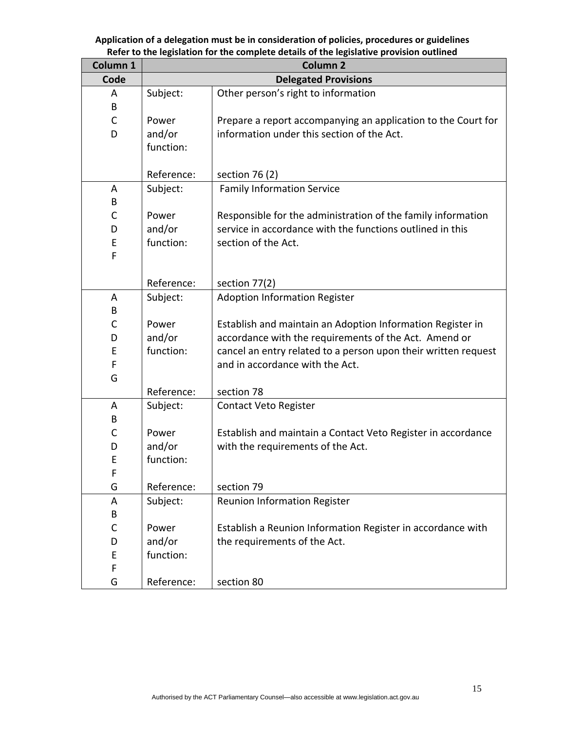| Column 1    | <b>Column 2</b>             |                                                                |  |
|-------------|-----------------------------|----------------------------------------------------------------|--|
| Code        | <b>Delegated Provisions</b> |                                                                |  |
| A           | Subject:                    | Other person's right to information                            |  |
| B           |                             |                                                                |  |
| $\mathsf C$ | Power                       | Prepare a report accompanying an application to the Court for  |  |
| D           | and/or                      | information under this section of the Act.                     |  |
|             | function:                   |                                                                |  |
|             |                             |                                                                |  |
|             | Reference:                  | section 76 (2)                                                 |  |
| A           | Subject:                    | <b>Family Information Service</b>                              |  |
| B           |                             |                                                                |  |
| C           | Power                       | Responsible for the administration of the family information   |  |
| D           | and/or                      | service in accordance with the functions outlined in this      |  |
| E           | function:                   | section of the Act.                                            |  |
| F           |                             |                                                                |  |
|             |                             |                                                                |  |
|             | Reference:                  | section 77(2)                                                  |  |
| A           | Subject:                    | <b>Adoption Information Register</b>                           |  |
| B           |                             |                                                                |  |
| C           | Power                       | Establish and maintain an Adoption Information Register in     |  |
| D           | and/or                      | accordance with the requirements of the Act. Amend or          |  |
| E           | function:                   | cancel an entry related to a person upon their written request |  |
| F           |                             | and in accordance with the Act.                                |  |
| G           |                             |                                                                |  |
|             | Reference:                  | section 78                                                     |  |
| A           | Subject:                    | <b>Contact Veto Register</b>                                   |  |
| В           |                             |                                                                |  |
| C           | Power                       | Establish and maintain a Contact Veto Register in accordance   |  |
| D           | and/or                      | with the requirements of the Act.                              |  |
| E           | function:                   |                                                                |  |
| F<br>G      | Reference:                  | section 79                                                     |  |
|             |                             | <b>Reunion Information Register</b>                            |  |
| А<br>B      | Subject:                    |                                                                |  |
| C           | Power                       | Establish a Reunion Information Register in accordance with    |  |
| D           | and/or                      | the requirements of the Act.                                   |  |
| E           | function:                   |                                                                |  |
| F           |                             |                                                                |  |
| G           | Reference:                  | section 80                                                     |  |
|             |                             |                                                                |  |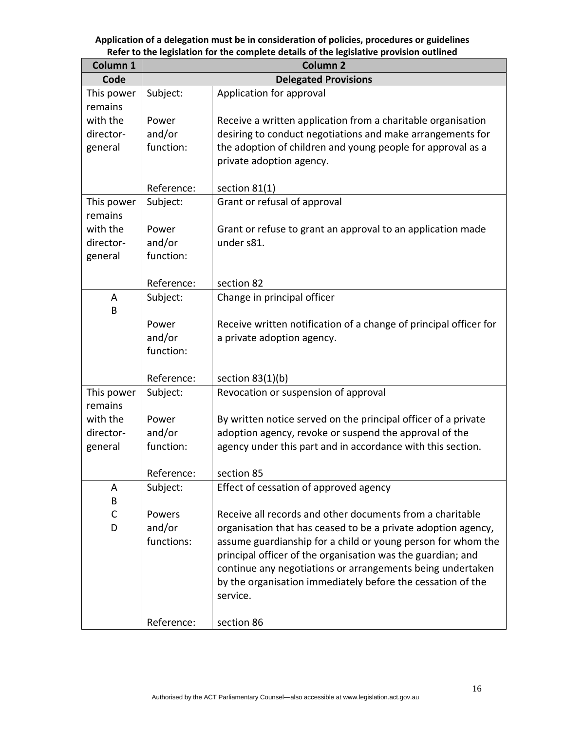| Column 1    | <b>Column 2</b> |                                                                   |  |  |
|-------------|-----------------|-------------------------------------------------------------------|--|--|
| Code        |                 | <b>Delegated Provisions</b>                                       |  |  |
| This power  | Subject:        | Application for approval                                          |  |  |
| remains     |                 |                                                                   |  |  |
| with the    | Power           | Receive a written application from a charitable organisation      |  |  |
| director-   | and/or          | desiring to conduct negotiations and make arrangements for        |  |  |
| general     | function:       | the adoption of children and young people for approval as a       |  |  |
|             |                 | private adoption agency.                                          |  |  |
|             | Reference:      | section $81(1)$                                                   |  |  |
| This power  | Subject:        | Grant or refusal of approval                                      |  |  |
| remains     |                 |                                                                   |  |  |
| with the    | Power           | Grant or refuse to grant an approval to an application made       |  |  |
| director-   | and/or          | under s81.                                                        |  |  |
| general     | function:       |                                                                   |  |  |
|             |                 |                                                                   |  |  |
|             | Reference:      | section 82                                                        |  |  |
| A           | Subject:        | Change in principal officer                                       |  |  |
| В           | Power           | Receive written notification of a change of principal officer for |  |  |
|             | and/or          | a private adoption agency.                                        |  |  |
|             | function:       |                                                                   |  |  |
|             |                 |                                                                   |  |  |
|             | Reference:      | section $83(1)(b)$                                                |  |  |
| This power  | Subject:        | Revocation or suspension of approval                              |  |  |
| remains     |                 |                                                                   |  |  |
| with the    | Power           | By written notice served on the principal officer of a private    |  |  |
| director-   | and/or          | adoption agency, revoke or suspend the approval of the            |  |  |
| general     | function:       | agency under this part and in accordance with this section.       |  |  |
|             | Reference:      | section 85                                                        |  |  |
| A           | Subject:        | Effect of cessation of approved agency                            |  |  |
| В           |                 |                                                                   |  |  |
| $\mathsf C$ | Powers          | Receive all records and other documents from a charitable         |  |  |
| D           | and/or          | organisation that has ceased to be a private adoption agency,     |  |  |
|             | functions:      | assume guardianship for a child or young person for whom the      |  |  |
|             |                 | principal officer of the organisation was the guardian; and       |  |  |
|             |                 | continue any negotiations or arrangements being undertaken        |  |  |
|             |                 | by the organisation immediately before the cessation of the       |  |  |
|             |                 | service.                                                          |  |  |
|             |                 |                                                                   |  |  |
|             | Reference:      | section 86                                                        |  |  |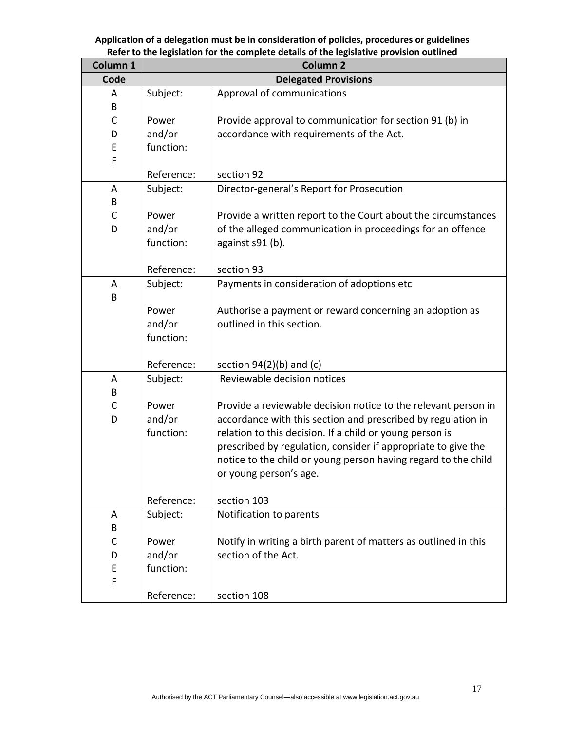| Column 1     | Column <sub>2</sub> |                                                                 |  |  |
|--------------|---------------------|-----------------------------------------------------------------|--|--|
| Code         |                     | <b>Delegated Provisions</b>                                     |  |  |
| A            | Subject:            | Approval of communications                                      |  |  |
| B            |                     |                                                                 |  |  |
| $\mathsf{C}$ | Power               | Provide approval to communication for section 91 (b) in         |  |  |
| D            | and/or              | accordance with requirements of the Act.                        |  |  |
| E            | function:           |                                                                 |  |  |
| F            |                     |                                                                 |  |  |
|              | Reference:          | section 92                                                      |  |  |
| A            | Subject:            | Director-general's Report for Prosecution                       |  |  |
| B            |                     |                                                                 |  |  |
| C            | Power               | Provide a written report to the Court about the circumstances   |  |  |
| D            | and/or              | of the alleged communication in proceedings for an offence      |  |  |
|              | function:           | against s91 (b).                                                |  |  |
|              |                     |                                                                 |  |  |
|              | Reference:          | section 93                                                      |  |  |
| A            | Subject:            | Payments in consideration of adoptions etc                      |  |  |
| B            |                     |                                                                 |  |  |
|              | Power               | Authorise a payment or reward concerning an adoption as         |  |  |
|              | and/or              | outlined in this section.                                       |  |  |
|              | function:           |                                                                 |  |  |
|              |                     |                                                                 |  |  |
|              | Reference:          | section $94(2)(b)$ and (c)                                      |  |  |
| A            | Subject:            | Reviewable decision notices                                     |  |  |
| В            |                     |                                                                 |  |  |
| C            | Power               | Provide a reviewable decision notice to the relevant person in  |  |  |
| D            | and/or              | accordance with this section and prescribed by regulation in    |  |  |
|              | function:           | relation to this decision. If a child or young person is        |  |  |
|              |                     | prescribed by regulation, consider if appropriate to give the   |  |  |
|              |                     | notice to the child or young person having regard to the child  |  |  |
|              |                     | or young person's age.                                          |  |  |
|              |                     |                                                                 |  |  |
|              | Reference:          | section 103                                                     |  |  |
| A            | Subject:            | Notification to parents                                         |  |  |
| В            |                     |                                                                 |  |  |
| C            | Power               | Notify in writing a birth parent of matters as outlined in this |  |  |
| D            | and/or              | section of the Act.                                             |  |  |
| E            | function:           |                                                                 |  |  |
| F            |                     |                                                                 |  |  |
|              | Reference:          | section 108                                                     |  |  |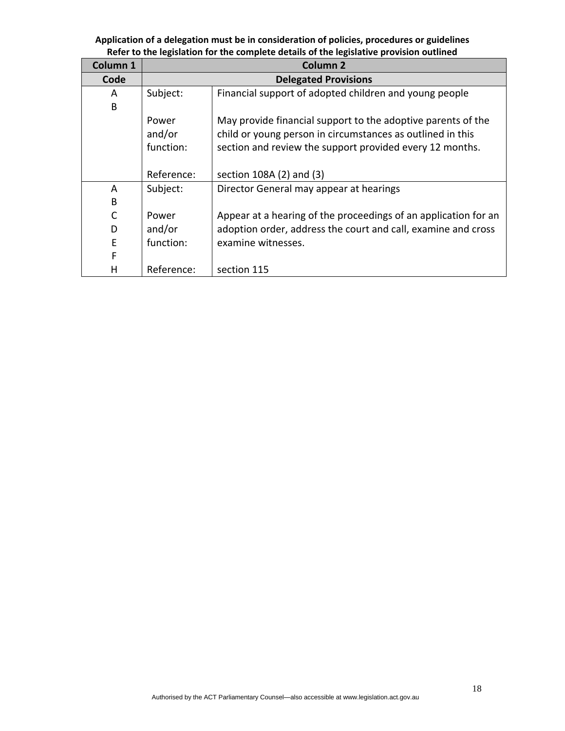| Column 1     | <b>Column 2</b>             |                                                                 |  |
|--------------|-----------------------------|-----------------------------------------------------------------|--|
| Code         | <b>Delegated Provisions</b> |                                                                 |  |
| A            | Subject:                    | Financial support of adopted children and young people          |  |
| B            |                             |                                                                 |  |
|              | Power                       | May provide financial support to the adoptive parents of the    |  |
|              | and/or                      | child or young person in circumstances as outlined in this      |  |
|              | function:                   | section and review the support provided every 12 months.        |  |
|              |                             |                                                                 |  |
|              | Reference:                  | section 108A (2) and (3)                                        |  |
| A            | Subject:                    | Director General may appear at hearings                         |  |
| B            |                             |                                                                 |  |
| $\mathsf{C}$ | Power                       | Appear at a hearing of the proceedings of an application for an |  |
| D            | and/or                      | adoption order, address the court and call, examine and cross   |  |
| E            | function:                   | examine witnesses.                                              |  |
| F            |                             |                                                                 |  |
| н            | Reference:                  | section 115                                                     |  |